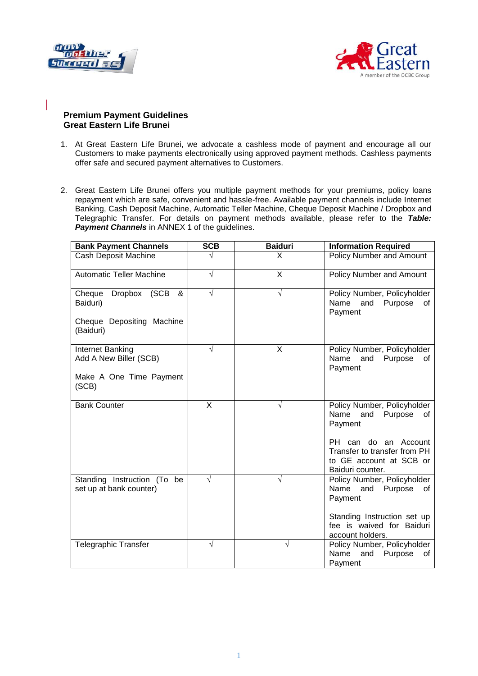



## **Premium Payment Guidelines Great Eastern Life Brunei**

- 1. At Great Eastern Life Brunei, we advocate a cashless mode of payment and encourage all our Customers to make payments electronically using approved payment methods. Cashless payments offer safe and secured payment alternatives to Customers.
- 2. Great Eastern Life Brunei offers you multiple payment methods for your premiums, policy loans repayment which are safe, convenient and hassle-free. Available payment channels include Internet Banking, Cash Deposit Machine, Automatic Teller Machine, Cheque Deposit Machine / Dropbox and Telegraphic Transfer. For details on payment methods available, please refer to the *Table:*  **Payment Channels** in ANNEX 1 of the guidelines.

| <b>Bank Payment Channels</b>                           | <b>SCB</b> | <b>Baiduri</b> | <b>Information Required</b>                                                                            |
|--------------------------------------------------------|------------|----------------|--------------------------------------------------------------------------------------------------------|
| Cash Deposit Machine                                   |            | X              | <b>Policy Number and Amount</b>                                                                        |
| <b>Automatic Teller Machine</b>                        | √          | X              | <b>Policy Number and Amount</b>                                                                        |
| (SCB<br>Cheque<br>Dropbox<br>&<br>Baiduri)             |            | V              | Policy Number, Policyholder<br>Name<br>and<br>Purpose<br>οf<br>Payment                                 |
| Cheque Depositing Machine<br>(Baiduri)                 |            |                |                                                                                                        |
| Internet Banking<br>Add A New Biller (SCB)             | √          | X              | Policy Number, Policyholder<br>Name<br>and<br>Purpose<br>of<br>Payment                                 |
| Make A One Time Payment<br>(SCB)                       |            |                |                                                                                                        |
| <b>Bank Counter</b>                                    | X          | V              | Policy Number, Policyholder<br>Name<br>and<br>Purpose<br>of<br>Payment                                 |
|                                                        |            |                | PH can do<br>an Account<br>Transfer to transfer from PH<br>to GE account at SCB or<br>Baiduri counter. |
| Standing Instruction (To be<br>set up at bank counter) | V          | V              | Policy Number, Policyholder<br>Name<br>and<br>Purpose<br>of<br>Payment                                 |
|                                                        |            |                | Standing Instruction set up<br>fee is waived for Baiduri<br>account holders.                           |
| <b>Telegraphic Transfer</b>                            | V          | V              | Policy Number, Policyholder<br>Name<br>and<br>Purpose<br>οf<br>Payment                                 |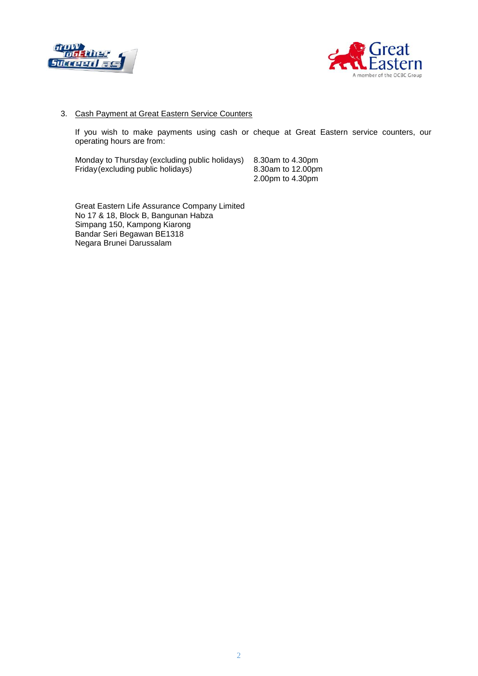



## 3. Cash Payment at Great Eastern Service Counters

If you wish to make payments using cash or cheque at Great Eastern service counters, our operating hours are from:

Monday to Thursday (excluding public holidays) 8.30am to 4.30pm Friday(excluding public holidays) 2.00pm to 4.30pm

Great Eastern Life Assurance Company Limited No 17 & 18, Block B, Bangunan Habza Simpang 150, Kampong Kiarong Bandar Seri Begawan BE1318 Negara Brunei Darussalam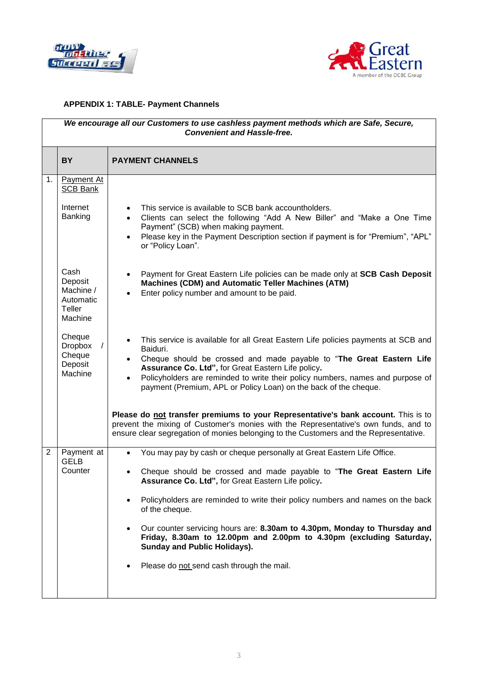



## **APPENDIX 1: TABLE- Payment Channels**

| We encourage all our Customers to use cashless payment methods which are Safe, Secure,<br><b>Convenient and Hassle-free.</b> |                                                                |                                                                                                                                                                                                                                                                                                                                                                                                |  |  |  |
|------------------------------------------------------------------------------------------------------------------------------|----------------------------------------------------------------|------------------------------------------------------------------------------------------------------------------------------------------------------------------------------------------------------------------------------------------------------------------------------------------------------------------------------------------------------------------------------------------------|--|--|--|
|                                                                                                                              | <b>BY</b>                                                      | <b>PAYMENT CHANNELS</b>                                                                                                                                                                                                                                                                                                                                                                        |  |  |  |
| 1.                                                                                                                           | <b>Payment At</b><br><b>SCB Bank</b>                           |                                                                                                                                                                                                                                                                                                                                                                                                |  |  |  |
|                                                                                                                              | Internet<br>Banking                                            | This service is available to SCB bank accountholders.<br>$\bullet$<br>Clients can select the following "Add A New Biller" and "Make a One Time<br>$\bullet$<br>Payment" (SCB) when making payment.<br>Please key in the Payment Description section if payment is for "Premium", "APL"<br>$\bullet$<br>or "Policy Loan".                                                                       |  |  |  |
|                                                                                                                              | Cash<br>Deposit<br>Machine /<br>Automatic<br>Teller<br>Machine | Payment for Great Eastern Life policies can be made only at SCB Cash Deposit<br><b>Machines (CDM) and Automatic Teller Machines (ATM)</b><br>Enter policy number and amount to be paid.                                                                                                                                                                                                        |  |  |  |
|                                                                                                                              | Cheque<br><b>Dropbox</b><br>Cheque<br>Deposit<br>Machine       | This service is available for all Great Eastern Life policies payments at SCB and<br>Baiduri.<br>Cheque should be crossed and made payable to "The Great Eastern Life<br>Assurance Co. Ltd", for Great Eastern Life policy.<br>Policyholders are reminded to write their policy numbers, names and purpose of<br>$\bullet$<br>payment (Premium, APL or Policy Loan) on the back of the cheque. |  |  |  |
|                                                                                                                              |                                                                | Please do not transfer premiums to your Representative's bank account. This is to<br>prevent the mixing of Customer's monies with the Representative's own funds, and to<br>ensure clear segregation of monies belonging to the Customers and the Representative.                                                                                                                              |  |  |  |
| $\overline{2}$                                                                                                               | Payment at<br><b>GELB</b><br>Counter                           | You may pay by cash or cheque personally at Great Eastern Life Office.<br>$\bullet$                                                                                                                                                                                                                                                                                                            |  |  |  |
|                                                                                                                              |                                                                | Cheque should be crossed and made payable to "The Great Eastern Life<br>Assurance Co. Ltd", for Great Eastern Life policy.                                                                                                                                                                                                                                                                     |  |  |  |
|                                                                                                                              |                                                                | Policyholders are reminded to write their policy numbers and names on the back<br>of the cheque.                                                                                                                                                                                                                                                                                               |  |  |  |
|                                                                                                                              |                                                                | Our counter servicing hours are: 8.30am to 4.30pm, Monday to Thursday and<br>$\bullet$<br>Friday, 8.30am to 12.00pm and 2.00pm to 4.30pm (excluding Saturday,<br><b>Sunday and Public Holidays).</b>                                                                                                                                                                                           |  |  |  |
|                                                                                                                              |                                                                | Please do not send cash through the mail.                                                                                                                                                                                                                                                                                                                                                      |  |  |  |